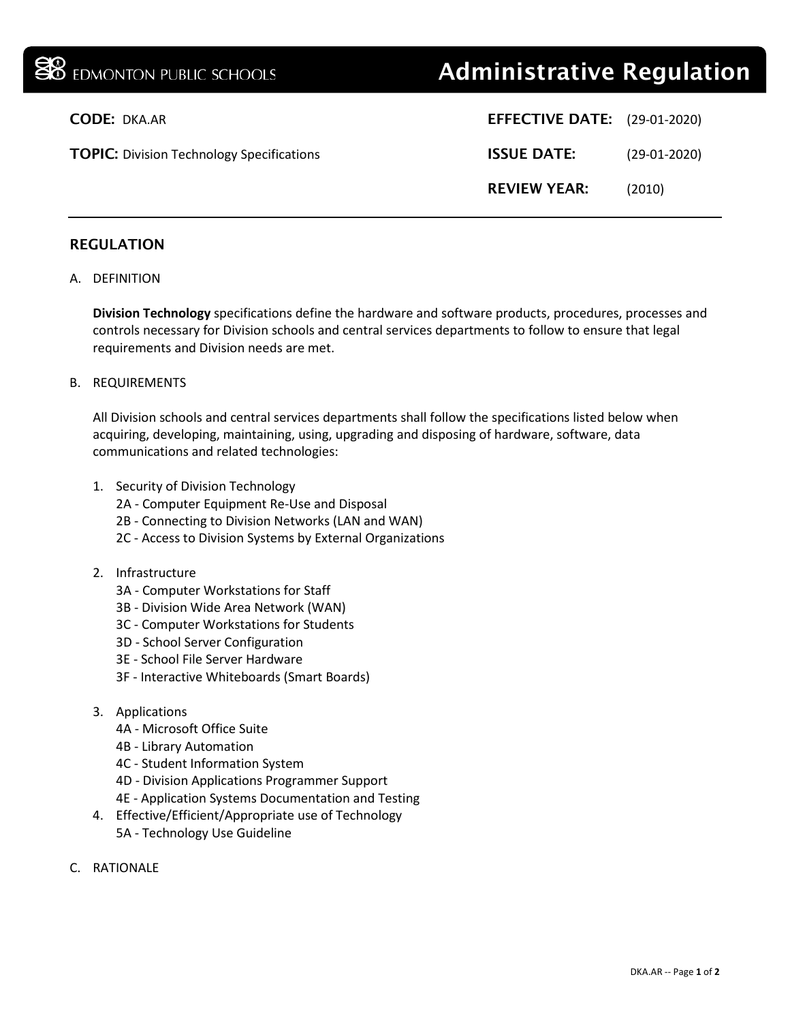# **38** EDMONTON PUBLIC SCHOOLS **Administrative Regulation**

| <b>CODE: DKA.AR</b>                              | <b>EFFECTIVE DATE:</b> (29-01-2020) |                |
|--------------------------------------------------|-------------------------------------|----------------|
| <b>TOPIC:</b> Division Technology Specifications | <b>ISSUE DATE:</b>                  | $(29-01-2020)$ |
|                                                  | <b>REVIEW YEAR:</b>                 | (2010)         |
|                                                  |                                     |                |

# REGULATION

## A. DEFINITION

**Division Technology** specifications define the hardware and software products, procedures, processes and controls necessary for Division schools and central services departments to follow to ensure that legal requirements and Division needs are met.

#### B. REQUIREMENTS

All Division schools and central services departments shall follow the specifications listed below when acquiring, developing, maintaining, using, upgrading and disposing of hardware, software, data communications and related technologies:

- 1. Security of Division Technology
	- 2A Computer Equipment Re-Use and Disposal
	- 2B Connecting to Division Networks (LAN and WAN)
	- 2C Access to Division Systems by External Organizations
- 2. Infrastructure
	- 3A Computer Workstations for Staff
	- 3B Division Wide Area Network (WAN)
	- 3C Computer Workstations for Students
	- 3D School Server Configuration
	- 3E School File Server Hardware
	- 3F Interactive Whiteboards (Smart Boards)
- 3. Applications
	- 4A Microsoft Office Suite
	- 4B Library Automation
	- 4C Student Information System
	- 4D Division Applications Programmer Support
	- 4E Application Systems Documentation and Testing
- 4. Effective/Efficient/Appropriate use of Technology 5A - Technology Use Guideline
- C. RATIONALE